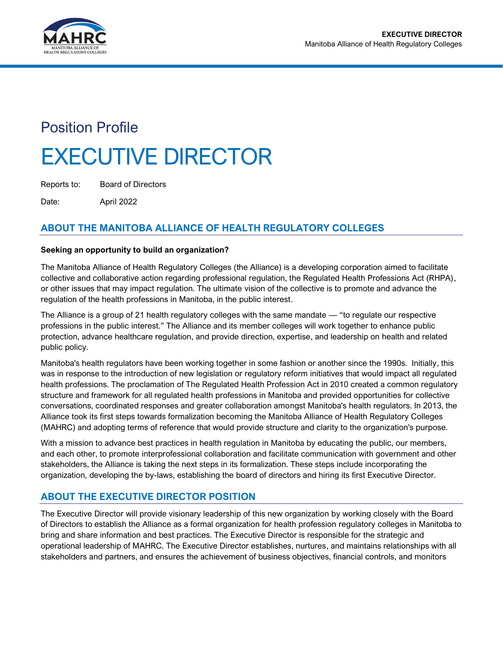

# Position Profile EXECUTIVE DIRECTOR

Reports to: Board of Directors

Date: April 2022

# **ABOUT THE MANITOBA ALLIANCE OF HEALTH REGULATORY COLLEGES**

## **Seeking an opportunity to build an organization?**

The Manitoba Alliance of Health Regulatory Colleges (the Alliance) is a developing corporation aimed to facilitate collective and collaborative action regarding professional regulation, the Regulated Health Professions Act (RHPA), or other issues that may impact regulation. The ultimate vision of the collective is to promote and advance the regulation of the health professions in Manitoba, in the public interest.

The Alliance is a group of 21 health regulatory colleges with the same mandate — "to regulate our respective professions in the public interest." The Alliance and its member colleges will work together to enhance public protection, advance healthcare regulation, and provide direction, expertise, and leadership on health and related public policy.

Manitoba's health regulators have been working together in some fashion or another since the 1990s. Initially, this was in response to the introduction of new legislation or regulatory reform initiatives that would impact all regulated health professions. The proclamation of The Regulated Health Profession Act in 2010 created a common regulatory structure and framework for all regulated health professions in Manitoba and provided opportunities for collective conversations, coordinated responses and greater collaboration amongst Manitoba's health regulators. In 2013, the Alliance took its first steps towards formalization becoming the Manitoba Alliance of Health Regulatory Colleges (MAHRC) and adopting terms of reference that would provide structure and clarity to the organization's purpose.

With a mission to advance best practices in health regulation in Manitoba by educating the public, our members, and each other, to promote interprofessional collaboration and facilitate communication with government and other stakeholders, the Alliance is taking the next steps in its formalization. These steps include incorporating the organization, developing the by-laws, establishing the board of directors and hiring its first Executive Director.

## **ABOUT THE EXECUTIVE DIRECTOR POSITION**

The Executive Director will provide visionary leadership of this new organization by working closely with the Board of Directors to establish the Alliance as a formal organization for health profession regulatory colleges in Manitoba to bring and share information and best practices. The Executive Director is responsible for the strategic and operational leadership of MAHRC. The Executive Director establishes, nurtures, and maintains relationships with all stakeholders and partners, and ensures the achievement of business objectives, financial controls, and monitors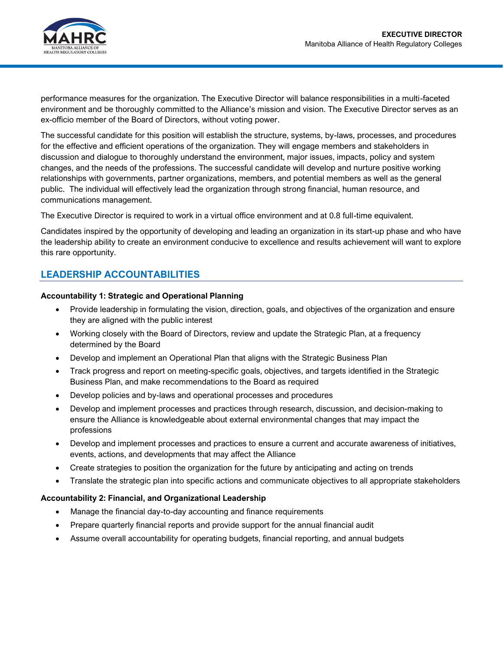

performance measures for the organization. The Executive Director will balance responsibilities in a multi-faceted environment and be thoroughly committed to the Alliance's mission and vision. The Executive Director serves as an ex-officio member of the Board of Directors, without voting power.

The successful candidate for this position will establish the structure, systems, by-laws, processes, and procedures for the effective and efficient operations of the organization. They will engage members and stakeholders in discussion and dialogue to thoroughly understand the environment, major issues, impacts, policy and system changes, and the needs of the professions. The successful candidate will develop and nurture positive working relationships with governments, partner organizations, members, and potential members as well as the general public. The individual will effectively lead the organization through strong financial, human resource, and communications management.

The Executive Director is required to work in a virtual office environment and at 0.8 full-time equivalent.

Candidates inspired by the opportunity of developing and leading an organization in its start-up phase and who have the leadership ability to create an environment conducive to excellence and results achievement will want to explore this rare opportunity.

## **LEADERSHIP ACCOUNTABILITIES**

#### **Accountability 1: Strategic and Operational Planning**

- Provide leadership in formulating the vision, direction, goals, and objectives of the organization and ensure they are aligned with the public interest
- Working closely with the Board of Directors, review and update the Strategic Plan, at a frequency determined by the Board
- Develop and implement an Operational Plan that aligns with the Strategic Business Plan
- Track progress and report on meeting-specific goals, objectives, and targets identified in the Strategic Business Plan, and make recommendations to the Board as required
- Develop policies and by-laws and operational processes and procedures
- Develop and implement processes and practices through research, discussion, and decision-making to ensure the Alliance is knowledgeable about external environmental changes that may impact the professions
- Develop and implement processes and practices to ensure a current and accurate awareness of initiatives, events, actions, and developments that may affect the Alliance
- Create strategies to position the organization for the future by anticipating and acting on trends
- Translate the strategic plan into specific actions and communicate objectives to all appropriate stakeholders

#### **Accountability 2: Financial, and Organizational Leadership**

- Manage the financial day-to-day accounting and finance requirements
- Prepare quarterly financial reports and provide support for the annual financial audit
- Assume overall accountability for operating budgets, financial reporting, and annual budgets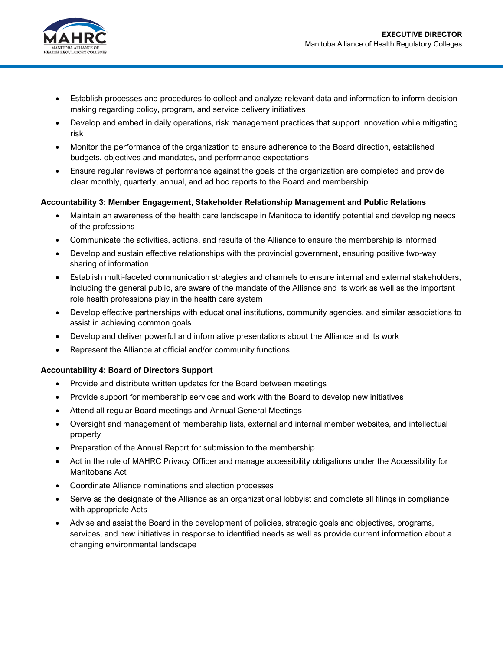

- Establish processes and procedures to collect and analyze relevant data and information to inform decisionmaking regarding policy, program, and service delivery initiatives
- Develop and embed in daily operations, risk management practices that support innovation while mitigating risk
- Monitor the performance of the organization to ensure adherence to the Board direction, established budgets, objectives and mandates, and performance expectations
- Ensure regular reviews of performance against the goals of the organization are completed and provide clear monthly, quarterly, annual, and ad hoc reports to the Board and membership

#### **Accountability 3: Member Engagement, Stakeholder Relationship Management and Public Relations**

- Maintain an awareness of the health care landscape in Manitoba to identify potential and developing needs of the professions
- Communicate the activities, actions, and results of the Alliance to ensure the membership is informed
- Develop and sustain effective relationships with the provincial government, ensuring positive two-way sharing of information
- Establish multi-faceted communication strategies and channels to ensure internal and external stakeholders, including the general public, are aware of the mandate of the Alliance and its work as well as the important role health professions play in the health care system
- Develop effective partnerships with educational institutions, community agencies, and similar associations to assist in achieving common goals
- Develop and deliver powerful and informative presentations about the Alliance and its work
- Represent the Alliance at official and/or community functions

#### **Accountability 4: Board of Directors Support**

- Provide and distribute written updates for the Board between meetings
- Provide support for membership services and work with the Board to develop new initiatives
- Attend all regular Board meetings and Annual General Meetings
- Oversight and management of membership lists, external and internal member websites, and intellectual property
- Preparation of the Annual Report for submission to the membership
- Act in the role of MAHRC Privacy Officer and manage accessibility obligations under the Accessibility for Manitobans Act
- Coordinate Alliance nominations and election processes
- Serve as the designate of the Alliance as an organizational lobbyist and complete all filings in compliance with appropriate Acts
- Advise and assist the Board in the development of policies, strategic goals and objectives, programs, services, and new initiatives in response to identified needs as well as provide current information about a changing environmental landscape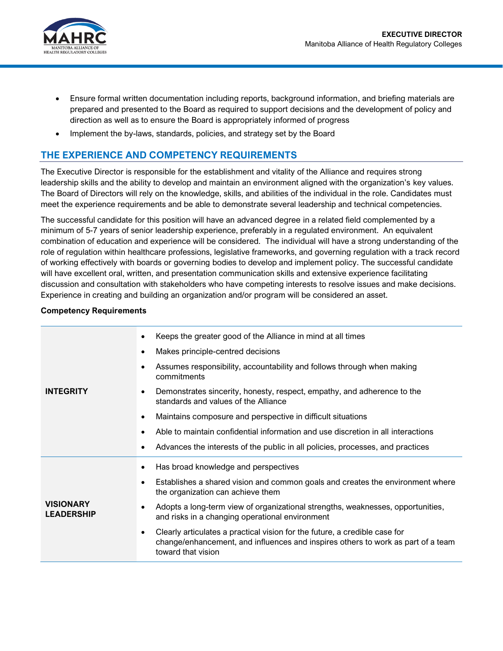

- Ensure formal written documentation including reports, background information, and briefing materials are prepared and presented to the Board as required to support decisions and the development of policy and direction as well as to ensure the Board is appropriately informed of progress
- Implement the by-laws, standards, policies, and strategy set by the Board

## **THE EXPERIENCE AND COMPETENCY REQUIREMENTS**

The Executive Director is responsible for the establishment and vitality of the Alliance and requires strong leadership skills and the ability to develop and maintain an environment aligned with the organization's key values. The Board of Directors will rely on the knowledge, skills, and abilities of the individual in the role. Candidates must meet the experience requirements and be able to demonstrate several leadership and technical competencies.

The successful candidate for this position will have an advanced degree in a related field complemented by a minimum of 5-7 years of senior leadership experience, preferably in a regulated environment. An equivalent combination of education and experience will be considered. The individual will have a strong understanding of the role of regulation within healthcare professions, legislative frameworks, and governing regulation with a track record of working effectively with boards or governing bodies to develop and implement policy. The successful candidate will have excellent oral, written, and presentation communication skills and extensive experience facilitating discussion and consultation with stakeholders who have competing interests to resolve issues and make decisions. Experience in creating and building an organization and/or program will be considered an asset.

## **Competency Requirements**

| <b>INTEGRITY</b>                      | Keeps the greater good of the Alliance in mind at all times<br>٠                                                                                                                                  |
|---------------------------------------|---------------------------------------------------------------------------------------------------------------------------------------------------------------------------------------------------|
|                                       | Makes principle-centred decisions<br>٠                                                                                                                                                            |
|                                       | Assumes responsibility, accountability and follows through when making<br>commitments                                                                                                             |
|                                       | Demonstrates sincerity, honesty, respect, empathy, and adherence to the<br>٠<br>standards and values of the Alliance                                                                              |
|                                       | Maintains composure and perspective in difficult situations<br>$\bullet$                                                                                                                          |
|                                       | Able to maintain confidential information and use discretion in all interactions                                                                                                                  |
|                                       | Advances the interests of the public in all policies, processes, and practices                                                                                                                    |
| <b>VISIONARY</b><br><b>LEADERSHIP</b> | Has broad knowledge and perspectives                                                                                                                                                              |
|                                       | Establishes a shared vision and common goals and creates the environment where<br>the organization can achieve them                                                                               |
|                                       | Adopts a long-term view of organizational strengths, weaknesses, opportunities,<br>and risks in a changing operational environment                                                                |
|                                       | Clearly articulates a practical vision for the future, a credible case for<br>$\bullet$<br>change/enhancement, and influences and inspires others to work as part of a team<br>toward that vision |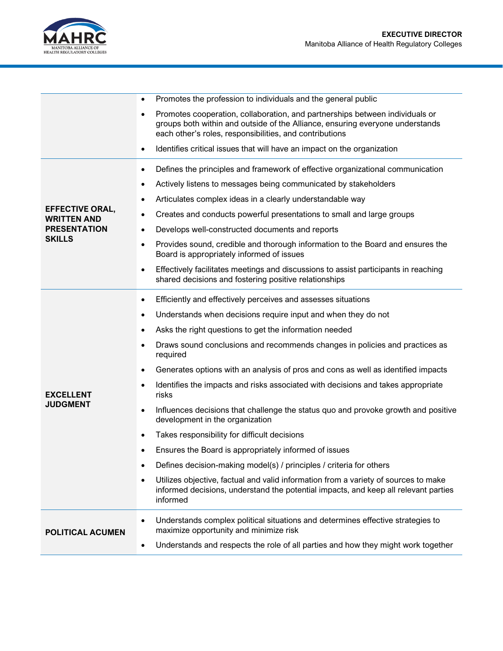

|                                                                                      | Promotes the profession to individuals and the general public<br>$\bullet$                                                                                                                                                    |
|--------------------------------------------------------------------------------------|-------------------------------------------------------------------------------------------------------------------------------------------------------------------------------------------------------------------------------|
|                                                                                      | Promotes cooperation, collaboration, and partnerships between individuals or<br>٠<br>groups both within and outside of the Alliance, ensuring everyone understands<br>each other's roles, responsibilities, and contributions |
|                                                                                      | Identifies critical issues that will have an impact on the organization<br>$\bullet$                                                                                                                                          |
| <b>EFFECTIVE ORAL,</b><br><b>WRITTEN AND</b><br><b>PRESENTATION</b><br><b>SKILLS</b> | Defines the principles and framework of effective organizational communication<br>$\bullet$                                                                                                                                   |
|                                                                                      | Actively listens to messages being communicated by stakeholders<br>$\bullet$                                                                                                                                                  |
|                                                                                      | Articulates complex ideas in a clearly understandable way<br>٠                                                                                                                                                                |
|                                                                                      | Creates and conducts powerful presentations to small and large groups<br>$\bullet$                                                                                                                                            |
|                                                                                      | Develops well-constructed documents and reports<br>٠                                                                                                                                                                          |
|                                                                                      | Provides sound, credible and thorough information to the Board and ensures the<br>$\bullet$<br>Board is appropriately informed of issues                                                                                      |
|                                                                                      | Effectively facilitates meetings and discussions to assist participants in reaching<br>$\bullet$<br>shared decisions and fostering positive relationships                                                                     |
|                                                                                      | Efficiently and effectively perceives and assesses situations<br>٠                                                                                                                                                            |
|                                                                                      | Understands when decisions require input and when they do not<br>$\bullet$                                                                                                                                                    |
|                                                                                      | Asks the right questions to get the information needed<br>$\bullet$                                                                                                                                                           |
|                                                                                      | Draws sound conclusions and recommends changes in policies and practices as<br>$\bullet$<br>required                                                                                                                          |
|                                                                                      | Generates options with an analysis of pros and cons as well as identified impacts<br>$\bullet$                                                                                                                                |
| <b>EXCELLENT</b><br><b>JUDGMENT</b>                                                  | Identifies the impacts and risks associated with decisions and takes appropriate<br>٠<br>risks                                                                                                                                |
|                                                                                      | Influences decisions that challenge the status quo and provoke growth and positive<br>$\bullet$<br>development in the organization                                                                                            |
|                                                                                      | Takes responsibility for difficult decisions<br>$\bullet$                                                                                                                                                                     |
|                                                                                      | Ensures the Board is appropriately informed of issues<br>٠                                                                                                                                                                    |
|                                                                                      | Defines decision-making model(s) / principles / criteria for others                                                                                                                                                           |
|                                                                                      | Utilizes objective, factual and valid information from a variety of sources to make<br>$\bullet$<br>informed decisions, understand the potential impacts, and keep all relevant parties<br>informed                           |
| <b>POLITICAL ACUMEN</b>                                                              | Understands complex political situations and determines effective strategies to<br>٠<br>maximize opportunity and minimize risk                                                                                                |
|                                                                                      | Understands and respects the role of all parties and how they might work together<br>$\bullet$                                                                                                                                |